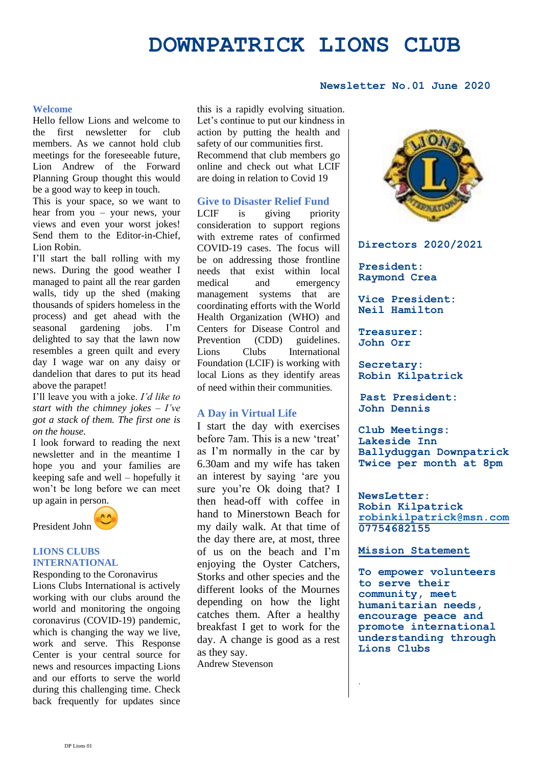# **DOWNPATRICK LIONS CLUB**

### **Newsletter No.01 June 2020**

#### **Welcome**

Hello fellow Lions and welcome to the first newsletter for club members. As we cannot hold club meetings for the foreseeable future, Lion Andrew of the Forward Planning Group thought this would be a good way to keep in touch.

This is your space, so we want to hear from you – your news, your views and even your worst jokes! Send them to the Editor-in-Chief, Lion Robin.

I'll start the ball rolling with my news. During the good weather I managed to paint all the rear garden walls, tidy up the shed (making thousands of spiders homeless in the process) and get ahead with the seasonal gardening jobs. I'm delighted to say that the lawn now resembles a green quilt and every day I wage war on any daisy or dandelion that dares to put its head above the parapet!

I'll leave you with a joke. *I'd like to start with the chimney jokes – I've got a stack of them. The first one is on the house.*

I look forward to reading the next newsletter and in the meantime I hope you and your families are keeping safe and well – hopefully it won't be long before we can meet up again in person.

President John

#### **LIONS CLUBS INTERNATIONAL**

Responding to the Coronavirus Lions Clubs International is actively working with our clubs around the world and monitoring the ongoing coronavirus (COVID-19) pandemic, which is changing the way we live, work and serve. This Response Center is your central source for news and resources impacting Lions and our efforts to serve the world during this challenging time. Check back frequently for updates since

this is a rapidly evolving situation. Let's continue to put our kindness in action by putting the health and safety of our communities first. Recommend that club members go online and check out what LCIF are doing in relation to Covid 19

#### **Give to Disaster Relief Fund**

LCIF is giving priority consideration to support regions with extreme rates of confirmed COVID-19 cases. The focus will be on addressing those frontline needs that exist within local medical and emergency management systems that are coordinating efforts with the World Health Organization (WHO) and Centers for Disease Control and Prevention (CDD) guidelines. Lions Clubs International Foundation (LCIF) is working with local Lions as they identify areas of need within their communities.

#### **A Day in Virtual Life**

I start the day with exercises before 7am. This is a new 'treat' as I'm normally in the car by 6.30am and my wife has taken an interest by saying 'are you sure you're Ok doing that? I then head-off with coffee in hand to Minerstown Beach for my daily walk. At that time of the day there are, at most, three of us on the beach and I'm enjoying the Oyster Catchers, Storks and other species and the different looks of the Mournes depending on how the light catches them. After a healthy breakfast I get to work for the day. A change is good as a rest as they say.

Andrew Stevenson



#### **Directors 2020/2021**

**President: Raymond Crea**

**Vice President: Neil Hamilton**

**Treasurer: John Orr**

**Secretary: Robin Kilpatrick**

**Past President: John Dennis**

**Club Meetings: Lakeside Inn Ballyduggan Downpatrick Twice per month at 8pm**

**NewsLetter: Robin Kilpatrick [robinkilpatrick@msn.com](mailto:robinkilpatrick@msn.com) 07754682155**

#### **Mission Statement**

.

**To empower volunteers to serve their community, meet humanitarian needs, encourage peace and promote international understanding through Lions Clubs**